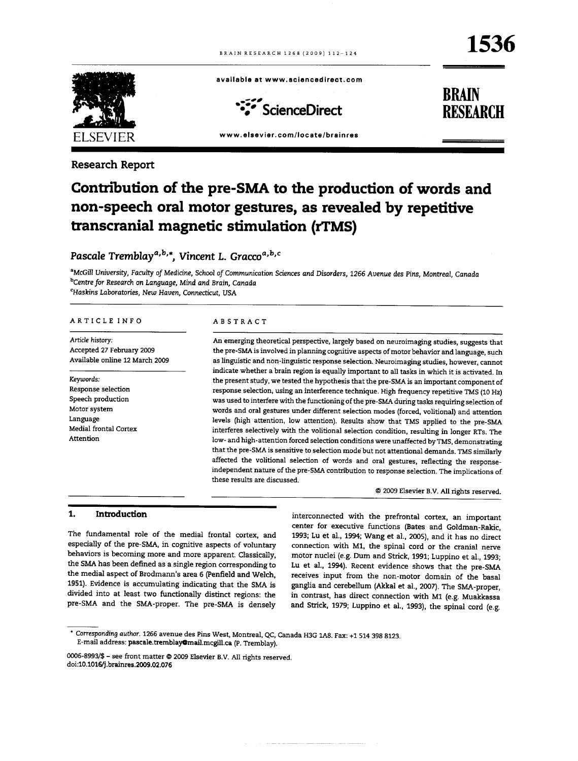#### BRAIN RESEARCH 1268 (2009) 112-124

available at www.sciencedirect.com



**BRAIN RESEARCH** 

www.elsevier.com/locate/brainres

**Research Report** 

# Contribution of the pre-SMA to the production of words and non-speech oral motor gestures, as revealed by repetitive transcranial magnetic stimulation (rTMS)

# Pascale Tremblay<sup>a,b,\*</sup>, Vincent L. Gracco<sup>a,b,c</sup>

<sup>a</sup>McGill University, Faculty of Medicine, School of Communication Sciences and Disorders, 1266 Avenue des Pins, Montreal, Canada <sup>b</sup>Centre for Research on Language, Mind and Brain, Canada "Haskins Laboratories, New Haven, Connecticut, USA

#### ARTICLE INFO

Article history: Accepted 27 February 2009 Available online 12 March 2009

Kevwords: Response selection Speech production Motor system Language Medial frontal Cortex Attention

#### **ABSTRACT**

An emerging theoretical perspective, largely based on neuroimaging studies, suggests that the pre-SMA is involved in planning cognitive aspects of motor behavior and language, such as linguistic and non-linguistic response selection. Neuroimaging studies, however, cannot indicate whether a brain region is equally important to all tasks in which it is activated. In the present study, we tested the hypothesis that the pre-SMA is an important component of response selection, using an interference technique. High frequency repetitive TMS (10 Hz) was used to interfere with the functioning of the pre-SMA during tasks requiring selection of words and oral gestures under different selection modes (forced, volitional) and attention levels (high attention, low attention). Results show that TMS applied to the pre-SMA interferes selectively with the volitional selection condition, resulting in longer RTs. The low- and high-attention forced selection conditions were unaffected by TMS, demonstrating that the pre-SMA is sensitive to selection mode but not attentional demands. TMS similarly affected the volitional selection of words and oral gestures, reflecting the responseindependent nature of the pre-SMA contribution to response selection. The implications of these results are discussed.

@ 2009 Elsevier B.V. All rights reserved.

#### $1<sub>1</sub>$ Introduction

The fundamental role of the medial frontal cortex, and especially of the pre-SMA, in cognitive aspects of voluntary behaviors is becoming more and more apparent. Classically, the SMA has been defined as a single region corresponding to the medial aspect of Brodmann's area 6 (Penfield and Welch, 1951). Evidence is accumulating indicating that the SMA is divided into at least two functionally distinct regions: the pre-SMA and the SMA-proper. The pre-SMA is densely

interconnected with the prefrontal cortex, an important center for executive functions (Bates and Goldman-Rakic, 1993; Lu et al., 1994; Wang et al., 2005), and it has no direct connection with M1, the spinal cord or the cranial nerve motor nuclei (e.g. Dum and Strick, 1991; Luppino et al., 1993; Lu et al., 1994). Recent evidence shows that the pre-SMA receives input from the non-motor domain of the basal ganglia and cerebellum (Akkal et al., 2007). The SMA-proper. in contrast, has direct connection with M1 (e.g. Muakkassa and Strick, 1979; Luppino et al., 1993), the spinal cord (e.g.

FI SEVIER

1536

<sup>\*</sup> Corresponding author. 1266 avenue des Pins West, Montreal, QC, Canada H3G 1A8. Fax: +1 514 398 8123. E-mail address: pascale.tremblay@mail.mcgill.ca (P. Tremblay)

<sup>0006-8993/\$ -</sup> see front matter @ 2009 Elsevier B.V. All rights reserved. doi:10.1016/j.brainres.2009.02.076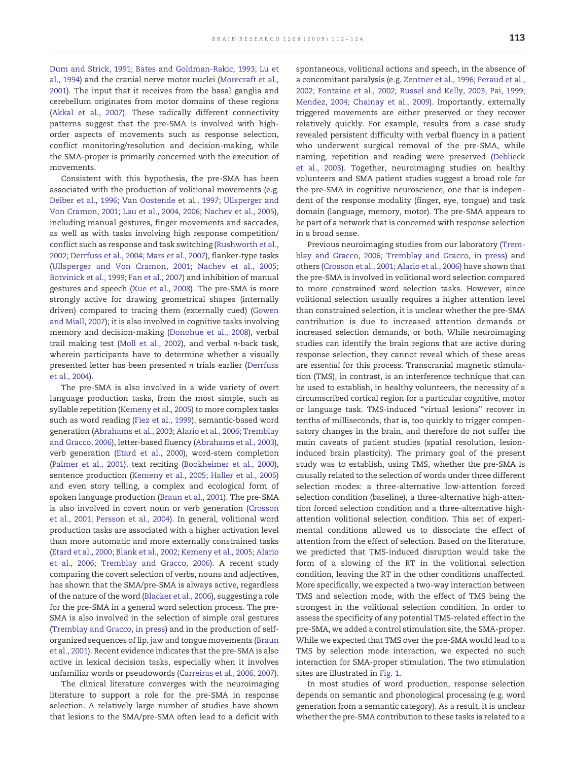[Dum and Strick, 1991; Bates and Goldman-Rakic, 1993; Lu et](#page-10-0) [al., 1994](#page-10-0)) and the cranial nerve motor nuclei ([Morecraft et al.,](#page-11-0) [2001](#page-11-0)). The input that it receives from the basal ganglia and cerebellum originates from motor domains of these regions [\(Akkal et al., 2007\)](#page-10-0). These radically different connectivity patterns suggest that the pre-SMA is involved with highorder aspects of movements such as response selection, conflict monitoring/resolution and decision-making, while the SMA-proper is primarily concerned with the execution of movements.

Consistent with this hypothesis, the pre-SMA has been associated with the production of volitional movements (e.g. [Deiber et al., 1996; Van Oostende et al., 1997; Ullsperger and](#page-10-0) [Von Cramon, 2001; Lau et al., 2004, 2006; Nachev et al., 2005](#page-10-0)), including manual gestures, finger movements and saccades, as well as with tasks involving high response competition/ conflict such as response and task switching [\(Rushworth et al.,](#page-12-0) [2002; Derrfuss et al., 2004; Mars et al., 2007](#page-12-0)), flanker-type tasks [\(Ullsperger and Von Cramon, 2001; Nachev et al., 2005;](#page-12-0) [Botvinick et al., 1999; Fan et al., 2007](#page-12-0)) and inhibition of manual gestures and speech [\(Xue et al., 2008\)](#page-12-0). The pre-SMA is more strongly active for drawing geometrical shapes (internally driven) compared to tracing them (externally cued) [\(Gowen](#page-11-0) [and Miall, 2007\)](#page-11-0); it is also involved in cognitive tasks involving memory and decision-making [\(Donohue et al., 2008](#page-10-0)), verbal trail making test ([Moll et al., 2002](#page-11-0)), and verbal n-back task, wherein participants have to determine whether a visually presented letter has been presented n trials earlier [\(Derrfuss](#page-10-0) [et al., 2004\)](#page-10-0).

The pre-SMA is also involved in a wide variety of overt language production tasks, from the most simple, such as syllable repetition ([Kemeny et al., 2005\)](#page-11-0) to more complex tasks such as word reading ([Fiez et al., 1999\)](#page-10-0), semantic-based word generation [\(Abrahams et al., 2003; Alario et al., 2006; Tremblay](#page-10-0) [and Gracco, 2006](#page-10-0)), letter-based fluency [\(Abrahams et al., 2003](#page-10-0)), verb generation ([Etard et al., 2000](#page-10-0)), word-stem completion [\(Palmer et al., 2001](#page-11-0)), text reciting [\(Bookheimer et al., 2000](#page-10-0)), sentence production ([Kemeny et al., 2005; Haller et al., 2005\)](#page-11-0) and even story telling, a complex and ecological form of spoken language production ([Braun et al., 2001](#page-10-0)). The pre-SMA is also involved in covert noun or verb generation ([Crosson](#page-10-0) [et al., 2001; Persson et al., 2004](#page-10-0)). In general, volitional word production tasks are associated with a higher activation level than more automatic and more externally constrained tasks [\(Etard et al., 2000; Blank et al., 2002; Kemeny et al., 2005; Alario](#page-10-0) [et al., 2006; Tremblay and Gracco, 2006\)](#page-10-0). A recent study comparing the covert selection of verbs, nouns and adjectives, has shown that the SMA/pre-SMA is always active, regardless of the nature of the word ([Blacker et al., 2006](#page-10-0)), suggesting a role for the pre-SMA in a general word selection process. The pre-SMA is also involved in the selection of simple oral gestures [\(Tremblay and Gracco, in press](http://dx.doi.org/doi:10.1016/j.cortex.2009.03.003)) and in the production of selforganized sequences of lip, jaw and tongue movements ([Braun](#page-10-0) [et al., 2001\)](#page-10-0). Recent evidence indicates that the pre-SMA is also active in lexical decision tasks, especially when it involves unfamiliar words or pseudowords [\(Carreiras et al., 2006, 2007](#page-10-0)).

The clinical literature converges with the neuroimaging literature to support a role for the pre-SMA in response selection. A relatively large number of studies have shown that lesions to the SMA/pre-SMA often lead to a deficit with

spontaneous, volitional actions and speech, in the absence of a concomitant paralysis (e.g. [Zentner et al., 1996; Peraud et al.,](#page-12-0) [2002; Fontaine et al., 2002; Russel and Kelly, 2003; Pai, 1999;](#page-12-0) [Mendez, 2004; Chainay et al., 2009](#page-12-0)). Importantly, externally triggered movements are either preserved or they recover relatively quickly. For example, results from a case study revealed persistent difficulty with verbal fluency in a patient who underwent surgical removal of the pre-SMA, while naming, repetition and reading were preserved ([Deblieck](#page-10-0) [et al., 2003](#page-10-0)). Together, neuroimaging studies on healthy volunteers and SMA patient studies suggest a broad role for the pre-SMA in cognitive neuroscience, one that is independent of the response modality (finger, eye, tongue) and task domain (language, memory, motor). The pre-SMA appears to be part of a network that is concerned with response selection in a broad sense.

Previous neuroimaging studies from our laboratory ([Trem](#page-12-0)[blay and Gracco, 2006; Tremblay and Gracco, in press\)](#page-12-0) and others ([Crosson et al., 2001; Alario et al., 2006](#page-10-0)) have shown that the pre-SMA is involved in volitional word selection compared to more constrained word selection tasks. However, since volitional selection usually requires a higher attention level than constrained selection, it is unclear whether the pre-SMA contribution is due to increased attention demands or increased selection demands, or both. While neuroimaging studies can identify the brain regions that are active during response selection, they cannot reveal which of these areas are essential for this process. Transcranial magnetic stimulation (TMS), in contrast, is an interference technique that can be used to establish, in healthy volunteers, the necessity of a circumscribed cortical region for a particular cognitive, motor or language task. TMS-induced "virtual lesions" recover in tenths of milliseconds, that is, too quickly to trigger compensatory changes in the brain, and therefore do not suffer the main caveats of patient studies (spatial resolution, lesioninduced brain plasticity). The primary goal of the present study was to establish, using TMS, whether the pre-SMA is causally related to the selection of words under three different selection modes: a three-alternative low-attention forced selection condition (baseline), a three-alternative high-attention forced selection condition and a three-alternative highattention volitional selection condition. This set of experimental conditions allowed us to dissociate the effect of attention from the effect of selection. Based on the literature, we predicted that TMS-induced disruption would take the form of a slowing of the RT in the volitional selection condition, leaving the RT in the other conditions unaffected. More specifically, we expected a two-way interaction between TMS and selection mode, with the effect of TMS being the strongest in the volitional selection condition. In order to assess the specificity of any potential TMS-related effect in the pre-SMA, we added a control stimulation site, the SMA-proper. While we expected that TMS over the pre-SMA would lead to a TMS by selection mode interaction, we expected no such interaction for SMA-proper stimulation. The two stimulation sites are illustrated in [Fig. 1](#page-2-0).

In most studies of word production, response selection depends on semantic and phonological processing (e.g. word generation from a semantic category). As a result, it is unclear whether the pre-SMA contribution to these tasks is related to a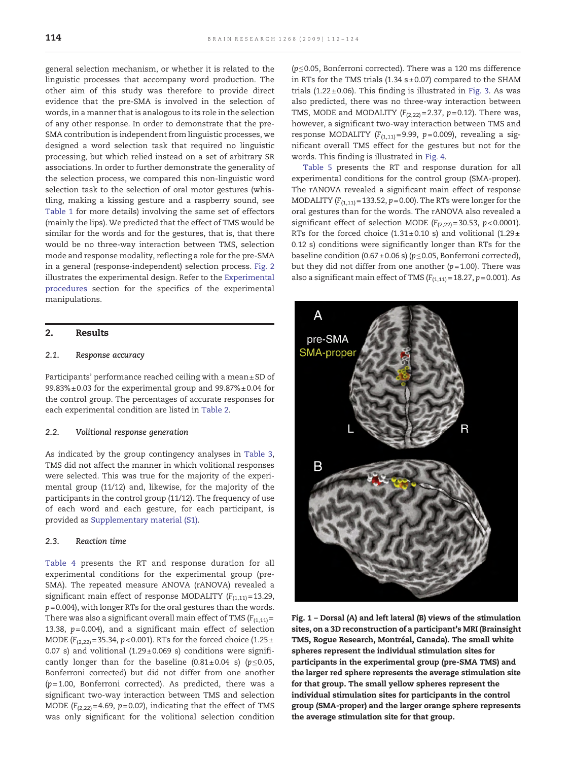A

pre-SMA **SMA-prope** 

general selection mechanism, or whether it is related to the linguistic processes that accompany word production. The other aim of this study was therefore to provide direct evidence that the pre-SMA is involved in the selection of words, in a manner that is analogous to its role in the selection of any other response. In order to demonstrate that the pre-SMA contribution is independent from linguistic processes, we designed a word selection task that required no linguistic processing, but which relied instead on a set of arbitrary SR associations. In order to further demonstrate the generality of the selection process, we compared this non-linguistic word selection task to the selection of oral motor gestures (whistling, making a kissing gesture and a raspberry sound, see [Table 1](#page-3-0) for more details) involving the same set of effectors (mainly the lips). We predicted that the effect of TMS would be similar for the words and for the gestures, that is, that there would be no three-way interaction between TMS, selection mode and response modality, reflecting a role for the pre-SMA in a general (response-independent) selection process. [Fig. 2](#page-3-0) illustrates the experimental design. Refer to the Experimental procedures section for the specifics of the experimental manipulations.

# 2. Results

# 2.1. Response accuracy

Participants' performance reached ceiling with a mean± SD of 99.83%± 0.03 for the experimental group and 99.87%± 0.04 for the control group. The percentages of accurate responses for each experimental condition are listed in [Table 2](#page-4-0).

# 2.2. Volitional response generation

As indicated by the group contingency analyses in [Table 3](#page-4-0), TMS did not affect the manner in which volitional responses were selected. This was true for the majority of the experimental group (11/12) and, likewise, for the majority of the participants in the control group (11/12). The frequency of use of each word and each gesture, for each participant, is provided as Supplementary material (S1).

#### 2.3. Reaction time

<span id="page-2-0"></span>[Table 4](#page-5-0) presents the RT and response duration for all experimental conditions for the experimental group (pre-SMA). The repeated measure ANOVA (rANOVA) revealed a significant main effect of response MODALITY ( $F_{(1,11)}$ = 13.29,  $p = 0.004$ ), with longer RTs for the oral gestures than the words. There was also a significant overall main effect of TMS ( $F_{(1,11)}$  = 13.38,  $p = 0.004$ ), and a significant main effect of selection MODE ( $F_{(2,22)}$ =35.34,  $p$  < 0.001). RTs for the forced choice (1.25 ± 0.07 s) and volitional  $(1.29 \pm 0.069 \text{ s})$  conditions were significantly longer than for the baseline  $(0.81 \pm 0.04 \text{ s})$  (p ≤ 0.05, Bonferroni corrected) but did not differ from one another  $(p= 1.00,$  Bonferroni corrected). As predicted, there was a significant two-way interaction between TMS and selection MODE ( $F_{(2,22)}$ =4.69, p=0.02), indicating that the effect of TMS was only significant for the volitional selection condition

(p≤0.05, Bonferroni corrected). There was a 120 ms difference in RTs for the TMS trials (1.34  $s \pm 0.07$ ) compared to the SHAM trials (1.22 $\pm$ 0.06). This finding is illustrated in [Fig. 3.](#page-5-0) As was also predicted, there was no three-way interaction between TMS, MODE and MODALITY  $(F_{(2,22)}=2.37, p=0.12)$ . There was, however, a significant two-way interaction between TMS and response MODALITY ( $F_{(1,11)} = 9.99$ ,  $p = 0.009$ ), revealing a significant overall TMS effect for the gestures but not for the words. This finding is illustrated in [Fig. 4.](#page-6-0)

[Table 5](#page-6-0) presents the RT and response duration for all experimental conditions for the control group (SMA-proper). The rANOVA revealed a significant main effect of response MODALITY ( $F_{(1,11)}$ = 133.52,  $p$  = 0.00). The RTs were longer for the oral gestures than for the words. The rANOVA also revealed a significant effect of selection MODE  $(F_{(2,22)}=30.53, p<0.0001)$ . RTs for the forced choice (1.31±0.10 s) and volitional (1.29± 0.12 s) conditions were significantly longer than RTs for the baseline condition (0.67 $\pm$ 0.06 s) (p ≤0.05, Bonferroni corrected), but they did not differ from one another  $(p= 1.00)$ . There was also a significant main effect of TMS  $(F_{(1,11)}= 18.27, p= 0.001)$ . As

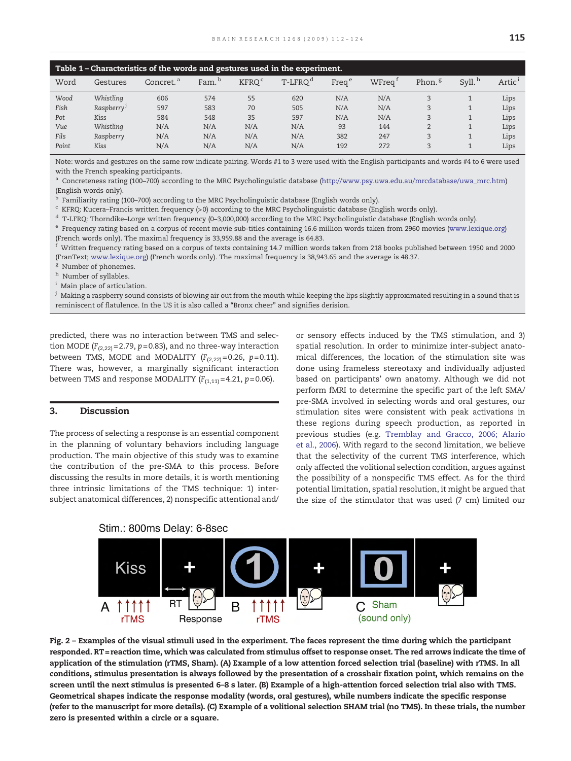| Table 1 - Characteristics of the words and gestures used in the experiment. |                        |                       |                   |                          |                     |                   |               |                    |                    |                    |
|-----------------------------------------------------------------------------|------------------------|-----------------------|-------------------|--------------------------|---------------------|-------------------|---------------|--------------------|--------------------|--------------------|
| Word                                                                        | Gestures               | Concret. <sup>a</sup> | Fam. <sup>b</sup> | <b>KFRO</b> <sup>c</sup> | T-LFRO <sup>d</sup> | Freg <sup>e</sup> | $WF$ rea $^1$ | Phon. <sup>g</sup> | Svll. <sup>h</sup> | Artic <sup>1</sup> |
| Wood                                                                        | Whistling              | 606                   | 574               | 55                       | 620                 | N/A               | N/A           | 3                  |                    | Lips               |
| Fish                                                                        | Raspberry <sup>J</sup> | 597                   | 583               | 70                       | 505                 | N/A               | N/A           | 3                  | ᅩ                  | Lips               |
| Pot                                                                         | Kiss                   | 584                   | 548               | 35                       | 597                 | N/A               | N/A           | 3                  |                    | Lips               |
| Vue                                                                         | Whistling              | N/A                   | N/A               | N/A                      | N/A                 | 93                | 144           | $\mathfrak{D}$     |                    | Lips               |
| Fils                                                                        | Raspberry              | N/A                   | N/A               | N/A                      | N/A                 | 382               | 247           | 3                  |                    | Lips               |
| Point                                                                       | <b>Kiss</b>            | N/A                   | N/A               | N/A                      | N/A                 | 192               | 272           | 3                  |                    | Lips               |

Note: words and gestures on the same row indicate pairing. Words #1 to 3 were used with the English participants and words #4 to 6 were used with the French speaking participants.

a Concreteness rating (100–700) according to the MRC Psycholinguistic database ([http://www.psy.uwa.edu.au/mrcdatabase/uwa\\_mrc.htm](http://www.psy.uwa.edu.au/mrcdatabase/uwa_mrc.htm)) (English words only).

<sup>b</sup> Familiarity rating (100–700) according to the MRC Psycholinguistic database (English words only).

 $\text{c}$  KFRQ: Kucera–Francis written frequency (>0) according to the MRC Psycholinguistic database (English words only).

 $d$  T-LFRQ: Thorndike–Lorge written frequency (0–3,000,000) according to the MRC Psycholinguistic database (English words only).

<sup>e</sup> Frequency rating based on a corpus of recent movie sub-titles containing 16.6 million words taken from 2960 movies ([www.lexique.org\)](http://www.lexique.org) (French words only). The maximal frequency is 33,959.88 and the average is 64.83.

 $^{\rm f}$  Written frequency rating based on a corpus of texts containing 14.7 million words taken from 218 books published between 1950 and 2000 (FranText; [www.lexique.org\)](http://www.lexique.org) (French words only). The maximal frequency is 38,943.65 and the average is 48.37.

<sup>g</sup> Number of phonemes.

 $^{\rm h}\,$  Number of syllables.

<sup>i</sup> Main place of articulation.

 $^{\rm j}$  Making a raspberry sound consists of blowing air out from the mouth while keeping the lips slightly approximated resulting in a sound that is reminiscent of flatulence. In the US it is also called a "Bronx cheer" and signifies derision.

predicted, there was no interaction between TMS and selection MODE  $(F_{(2,22)}=2.79, p=0.83)$ , and no three-way interaction between TMS, MODE and MODALITY  $(F_{(2,22)}=0.26, p=0.11)$ . There was, however, a marginally significant interaction between TMS and response MODALITY  $(F_{(1,11)}=4.21, p=0.06)$ .

# 3. Discussion

The process of selecting a response is an essential component in the planning of voluntary behaviors including language production. The main objective of this study was to examine the contribution of the pre-SMA to this process. Before discussing the results in more details, it is worth mentioning three intrinsic limitations of the TMS technique: 1) intersubject anatomical differences, 2) nonspecific attentional and/ or sensory effects induced by the TMS stimulation, and 3) spatial resolution. In order to minimize inter-subject anatomical differences, the location of the stimulation site was done using frameless stereotaxy and individually adjusted based on participants' own anatomy. Although we did not perform fMRI to determine the specific part of the left SMA/ pre-SMA involved in selecting words and oral gestures, our stimulation sites were consistent with peak activations in these regions during speech production, as reported in previous studies (e.g. [Tremblay and Gracco, 2006; Alario](#page-12-0) [et al., 2006\)](#page-12-0). With regard to the second limitation, we believe that the selectivity of the current TMS interference, which only affected the volitional selection condition, argues against the possibility of a nonspecific TMS effect. As for the third potential limitation, spatial resolution, it might be argued that the size of the stimulator that was used (7 cm) limited our





<span id="page-3-0"></span>Fig. 2 – Examples of the visual stimuli used in the experiment. The faces represent the time during which the participant responded. RT = reaction time, which was calculated from stimulus offset to response onset. The red arrows indicate the time of application of the stimulation (rTMS, Sham). (A) Example of a low attention forced selection trial (baseline) with rTMS. In all conditions, stimulus presentation is always followed by the presentation of a crosshair fixation point, which remains on the screen until the next stimulus is presented 6–8 s later. (B) Example of a high-attention forced selection trial also with TMS. Geometrical shapes indicate the response modality (words, oral gestures), while numbers indicate the specific response (refer to the manuscript for more details). (C) Example of a volitional selection SHAM trial (no TMS). In these trials, the number zero is presented within a circle or a square.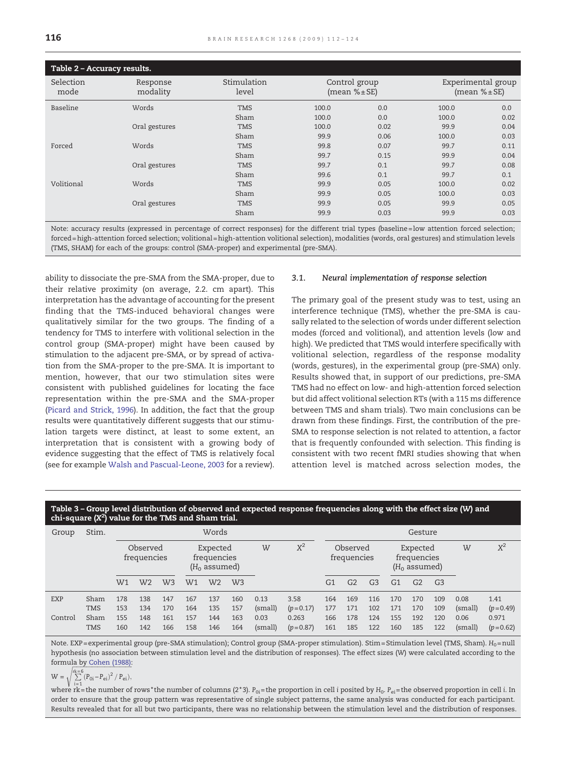| Table 2 - Accuracy results. |                      |                      |                                     |              |                                          |              |  |  |  |  |
|-----------------------------|----------------------|----------------------|-------------------------------------|--------------|------------------------------------------|--------------|--|--|--|--|
| Selection<br>mode           | Response<br>modality | Stimulation<br>level | Control group<br>(mean $% \pm SE$ ) |              | Experimental group<br>(mean $% \pm SE$ ) |              |  |  |  |  |
| Baseline                    | Words                | <b>TMS</b><br>Sham   | 100.0<br>100.0                      | 0.0<br>0.0   | 100.0<br>100.0                           | 0.0<br>0.02  |  |  |  |  |
|                             | Oral gestures        | <b>TMS</b><br>Sham   | 100.0<br>99.9                       | 0.02<br>0.06 | 99.9<br>100.0                            | 0.04<br>0.03 |  |  |  |  |
| Forced                      | Words                | <b>TMS</b><br>Sham   | 99.8<br>99.7                        | 0.07<br>0.15 | 99.7<br>99.9                             | 0.11<br>0.04 |  |  |  |  |
|                             | Oral gestures        | <b>TMS</b><br>Sham   | 99.7<br>99.6                        | 0.1<br>0.1   | 99.7<br>99.7                             | 0.08<br>0.1  |  |  |  |  |
| Volitional                  | Words                | <b>TMS</b><br>Sham   | 99.9<br>99.9                        | 0.05<br>0.05 | 100.0<br>100.0                           | 0.02<br>0.03 |  |  |  |  |
|                             | Oral gestures        | <b>TMS</b><br>Sham   | 99.9<br>99.9                        | 0.05<br>0.03 | 99.9<br>99.9                             | 0.05<br>0.03 |  |  |  |  |

Note: accuracy results (expressed in percentage of correct responses) for the different trial types (baseline = low attention forced selection; forced=high-attention forced selection; volitional =high-attention volitional selection), modalities (words, oral gestures) and stimulation levels (TMS, SHAM) for each of the groups: control (SMA-proper) and experimental (pre-SMA).

ability to dissociate the pre-SMA from the SMA-proper, due to their relative proximity (on average, 2.2. cm apart). This interpretation has the advantage of accounting for the present finding that the TMS-induced behavioral changes were qualitatively similar for the two groups. The finding of a tendency for TMS to interfere with volitional selection in the control group (SMA-proper) might have been caused by stimulation to the adjacent pre-SMA, or by spread of activation from the SMA-proper to the pre-SMA. It is important to mention, however, that our two stimulation sites were consistent with published guidelines for locating the face representation within the pre-SMA and the SMA-proper ([Picard and Strick, 1996](#page-12-0)). In addition, the fact that the group results were quantitatively different suggests that our stimulation targets were distinct, at least to some extent, an interpretation that is consistent with a growing body of evidence suggesting that the effect of TMS is relatively focal (see for example [Walsh and Pascual-Leone, 2003](#page-12-0) for a review).

#### 3.1. Neural implementation of response selection

The primary goal of the present study was to test, using an interference technique (TMS), whether the pre-SMA is causally related to the selection of words under different selection modes (forced and volitional), and attention levels (low and high). We predicted that TMS would interfere specifically with volitional selection, regardless of the response modality (words, gestures), in the experimental group (pre-SMA) only. Results showed that, in support of our predictions, pre-SMA TMS had no effect on low- and high-attention forced selection but did affect volitional selection RTs (with a 115 ms difference between TMS and sham trials). Two main conclusions can be drawn from these findings. First, the contribution of the pre-SMA to response selection is not related to attention, a factor that is frequently confounded with selection. This finding is consistent with two recent fMRI studies showing that when attention level is matched across selection modes, the

# Table 3 – Group level distribution of observed and expected response frequencies along with the effect size (W) and chi-square  $(X^2)$  value for the TMS and Sham trial.

| Group      | Stim.      |                         | Words          |                                           |     |     |                |         |                         |     | Gesture                                   |     |                |                |                |         |            |
|------------|------------|-------------------------|----------------|-------------------------------------------|-----|-----|----------------|---------|-------------------------|-----|-------------------------------------------|-----|----------------|----------------|----------------|---------|------------|
|            |            | Observed<br>frequencies |                | Expected<br>frequencies<br>$(H0$ assumed) |     | W   | $X^2$          |         | Observed<br>frequencies |     | Expected<br>frequencies<br>$(H0$ assumed) |     | W              | $X^2$          |                |         |            |
|            |            | W1                      | W <sub>2</sub> | W3                                        | W1  | W2  | W <sub>3</sub> |         |                         | G1  | G <sub>2</sub>                            | G3  | G <sub>1</sub> | G <sub>2</sub> | G <sub>3</sub> |         |            |
| <b>EXP</b> | Sham       | 178                     | 138            | 147                                       | 167 | 137 | 160            | 0.13    | 3.58                    | 164 | 169                                       | 116 | 170            | 170            | 109            | 0.08    | 1.41       |
|            | <b>TMS</b> | 153                     | 134            | 170                                       | 164 | 135 | 157            | (small) | $(p=0.17)$              | 177 | 171                                       | 102 | 171            | 170            | 109            | (small) | $(p=0.49)$ |
| Control    | Sham       | 155                     | 148            | 161                                       | 157 | 144 | 163            | 0.03    | 0.263                   | 166 | 178                                       | 124 | 155            | 192            | 120            | 0.06    | 0.971      |
|            | <b>TMS</b> | 160                     | 142            | 166                                       | 158 | 146 | 164            | (small) | $(p=0.87)$              | 161 | 185                                       | 122 | 160            | 185            | 122            | (small) | $(p=0.62)$ |

Note. EXP=experimental group (pre-SMA stimulation); Control group (SMA-proper stimulation). Stim=Stimulation level (TMS, Sham). H<sub>0</sub>=null hypothesis (no association between stimulation level and the distribution of responses). The effect sizes (W) were calculated according to the formula by [Cohen \(1988\):](#page-10-0)

$$
W = \sqrt{\sum_{i=1}^{rk=6} (P_{0i} - P_{ei})^2 / P_{ei}}),
$$

<span id="page-4-0"></span>Where rk=the number of rows\*the number of columns (2\*3).  $P_{0i}$ =the proportion in cell i posited by  $H_0$ .  $P_{ei}$ =the observed proportion in cell i. In  $\,$ order to ensure that the group pattern was representative of single subject patterns, the same analysis was conducted for each participant. Results revealed that for all but two participants, there was no relationship between the stimulation level and the distribution of responses.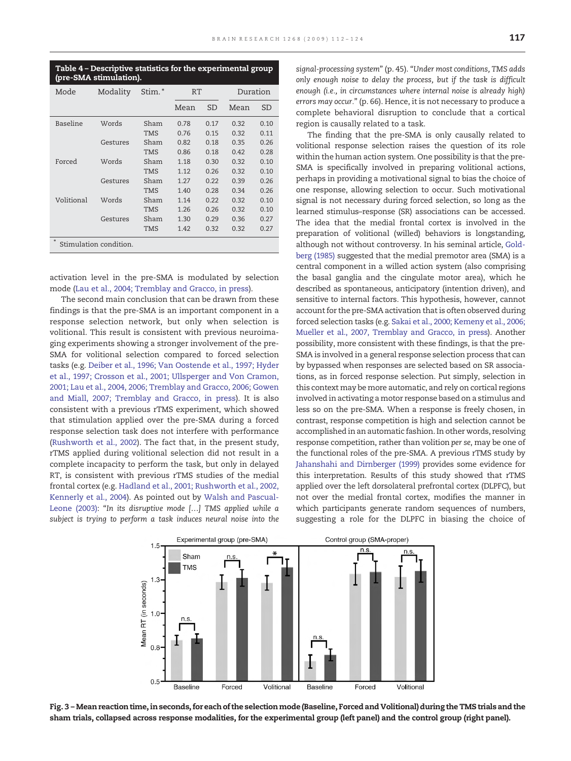#### Table 4 – Descriptive statistics for the experimental group (pre-SMA stimulation).

| Mode                             | Modality | Stim.*     | RT           |      | Duration |      |  |  |  |  |
|----------------------------------|----------|------------|--------------|------|----------|------|--|--|--|--|
|                                  |          |            | Mean         | SD   | Mean     | SD   |  |  |  |  |
| Baseline                         | Words    | Sham       | 0.78         | 0.17 | 0.32     | 0.10 |  |  |  |  |
|                                  |          | <b>TMS</b> | 0.76         | 0.15 | 0.32     | 0.11 |  |  |  |  |
|                                  | Gestures | Sham       | 0.82         | 0.18 | 0.35     | 0.26 |  |  |  |  |
|                                  |          | <b>TMS</b> | 0.86         | 0.18 | 0.42     | 0.28 |  |  |  |  |
| Forced                           | Words    | Sham       | 0.30<br>1.18 |      | 0.32     | 0.10 |  |  |  |  |
|                                  |          | <b>TMS</b> | 1.12         | 0.26 | 0.32     | 0.10 |  |  |  |  |
|                                  | Gestures | Sham       | 1.27         | 0.22 | 0.39     | 0.26 |  |  |  |  |
|                                  |          | <b>TMS</b> | 1.40         | 0.28 | 0.34     | 0.26 |  |  |  |  |
| Volitional                       | Words    | Sham       | 1.14         | 0.22 | 0.32     | 0.10 |  |  |  |  |
|                                  |          | <b>TMS</b> | 1.26         | 0.26 | 0.32     | 0.10 |  |  |  |  |
|                                  | Gestures | Sham       | 1.30         | 0.29 | 0.36     | 0.27 |  |  |  |  |
|                                  |          | <b>TMS</b> | 1.42         | 0.32 | 0.32     | 0.27 |  |  |  |  |
| $\ast$<br>Stimulation condition. |          |            |              |      |          |      |  |  |  |  |

activation level in the pre-SMA is modulated by selection mode ([Lau et al., 2004; Tremblay and Gracco, in press](#page-11-0)).

The second main conclusion that can be drawn from these findings is that the pre-SMA is an important component in a response selection network, but only when selection is volitional. This result is consistent with previous neuroimaging experiments showing a stronger involvement of the pre-SMA for volitional selection compared to forced selection tasks (e.g. [Deiber et al., 1996; Van Oostende et al., 1997; Hyder](#page-10-0) [et al., 1997; Crosson et al., 2001; Ullsperger and Von Cramon,](#page-10-0) [2001; Lau et al., 2004, 2006; Tremblay and Gracco, 2006; Gowen](#page-10-0) [and Miall, 2007; Tremblay and Gracco, in press\)](#page-10-0). It is also consistent with a previous rTMS experiment, which showed that stimulation applied over the pre-SMA during a forced response selection task does not interfere with performance [\(Rushworth et al., 2002\)](#page-12-0). The fact that, in the present study, rTMS applied during volitional selection did not result in a complete incapacity to perform the task, but only in delayed RT, is consistent with previous rTMS studies of the medial frontal cortex (e.g. [Hadland et al., 2001; Rushworth et al., 2002,](#page-11-0) [Kennerly et al., 2004](#page-11-0)). As pointed out by [Walsh and Pascual-](#page-12-0)[Leone \(2003\):](#page-12-0) "In its disruptive mode […] TMS applied while a subject is trying to perform a task induces neural noise into the signal-processing system" (p. 45). "Under most conditions, TMS adds only enough noise to delay the process, but if the task is difficult enough (i.e., in circumstances where internal noise is already high) errors may occur." (p. 66). Hence, it is not necessary to produce a complete behavioral disruption to conclude that a cortical region is causally related to a task.

The finding that the pre-SMA is only causally related to volitional response selection raises the question of its role within the human action system. One possibility is that the pre-SMA is specifically involved in preparing volitional actions, perhaps in providing a motivational signal to bias the choice of one response, allowing selection to occur. Such motivational signal is not necessary during forced selection, so long as the learned stimulus–response (SR) associations can be accessed. The idea that the medial frontal cortex is involved in the preparation of volitional (willed) behaviors is longstanding, although not without controversy. In his seminal article, [Gold](#page-11-0)[berg \(1985\)](#page-11-0) suggested that the medial premotor area (SMA) is a central component in a willed action system (also comprising the basal ganglia and the cingulate motor area), which he described as spontaneous, anticipatory (intention driven), and sensitive to internal factors. This hypothesis, however, cannot account for the pre-SMA activation that is often observed during forced selection tasks (e.g. [Sakai et al., 2000; Kemeny et al., 2006;](#page-12-0) [Mueller et al., 2007, Tremblay and Gracco, in press\)](#page-12-0). Another possibility, more consistent with these findings, is that the pre-SMA is involved in a general response selection process that can by bypassed when responses are selected based on SR associations, as in forced response selection. Put simply, selection in this context may be more automatic, and rely on cortical regions involved in activating a motor response based on a stimulus and less so on the pre-SMA. When a response is freely chosen, in contrast, response competition is high and selection cannot be accomplished in an automatic fashion. In other words, resolving response competition, rather than volition per se, may be one of the functional roles of the pre-SMA. A previous rTMS study by [Jahanshahi and Dirnberger \(1999\)](#page-11-0) provides some evidence for this interpretation. Results of this study showed that rTMS applied over the left dorsolateral prefrontal cortex (DLPFC), but not over the medial frontal cortex, modifies the manner in which participants generate random sequences of numbers, suggesting a role for the DLPFC in biasing the choice of



<span id="page-5-0"></span>Fig. 3 – Mean reaction time, in seconds, for each of the selection mode (Baseline, Forced and Volitional) during the TMS trials and the sham trials, collapsed across response modalities, for the experimental group (left panel) and the control group (right panel).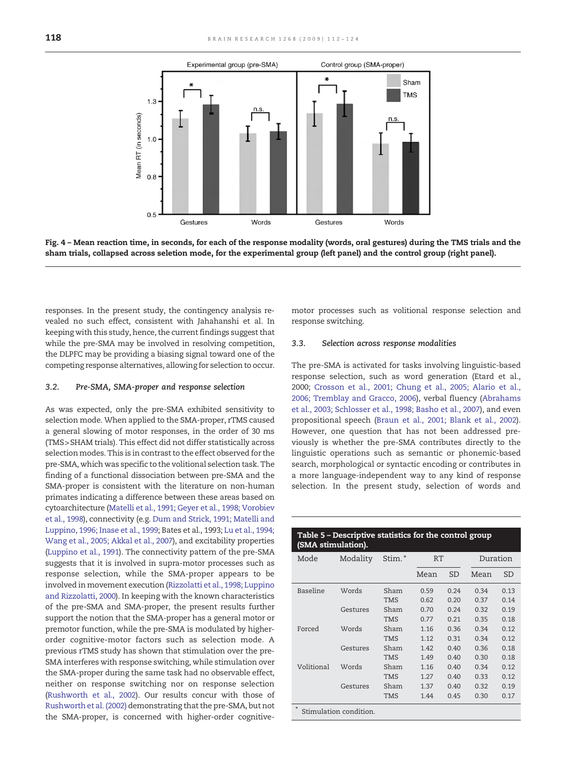

Fig. 4 – Mean reaction time, in seconds, for each of the response modality (words, oral gestures) during the TMS trials and the sham trials, collapsed across seletion mode, for the experimental group (left panel) and the control group (right panel).

responses. In the present study, the contingency analysis revealed no such effect, consistent with Jahahanshi et al. In keeping with this study, hence, the current findings suggest that while the pre-SMA may be involved in resolving competition, the DLPFC may be providing a biasing signal toward one of the competing response alternatives, allowing for selection to occur.

#### 3.2. Pre-SMA, SMA-proper and response selection

As was expected, only the pre-SMA exhibited sensitivity to selection mode. When applied to the SMA-proper, rTMS caused a general slowing of motor responses, in the order of 30 ms (TMS>SHAM trials). This effect did not differ statistically across selection modes. This is in contrast to the effect observed for the pre-SMA, which was specific to the volitional selection task. The finding of a functional dissociation between pre-SMA and the SMA-proper is consistent with the literature on non-human primates indicating a difference between these areas based on cytoarchitecture ([Matelli et al., 1991; Geyer et al., 1998; Vorobiev](#page-11-0) [et al., 1998\)](#page-11-0), connectivity (e.g. [Dum and Strick, 1991; Matelli and](#page-10-0) [Luppino, 1996; Inase et al., 1999;](#page-10-0) Bates et al., 1993; [Lu et al., 1994;](#page-11-0) [Wang et al., 2005; Akkal et al., 2007](#page-11-0)), and excitability properties ([Luppino et al., 1991](#page-11-0)). The connectivity pattern of the pre-SMA suggests that it is involved in supra-motor processes such as response selection, while the SMA-proper appears to be involved in movement execution [\(Rizzolatti et al., 1998; Luppino](#page-12-0) [and Rizzolatti, 2000\)](#page-12-0). In keeping with the known characteristics of the pre-SMA and SMA-proper, the present results further support the notion that the SMA-proper has a general motor or premotor function, while the pre-SMA is modulated by higherorder cognitive-motor factors such as selection mode. A previous rTMS study has shown that stimulation over the pre-SMA interferes with response switching, while stimulation over the SMA-proper during the same task had no observable effect, neither on response switching nor on response selection ([Rushworth et al., 2002](#page-12-0)). Our results concur with those of [Rushworth et al. \(2002\)](#page-12-0) demonstrating that the pre-SMA, but not the SMA-proper, is concerned with higher-order cognitivemotor processes such as volitional response selection and response switching.

#### 3.3. Selection across response modalities

The pre-SMA is activated for tasks involving linguistic-based response selection, such as word generation (Etard et al., 2000; [Crosson et al., 2001; Chung et al., 2005; Alario et al.,](#page-10-0) [2006; Tremblay and Gracco, 2006](#page-10-0)), verbal fluency [\(Abrahams](#page-10-0) [et al., 2003; Schlosser et al., 1998; Basho et al., 2007\)](#page-10-0), and even propositional speech ([Braun et al., 2001; Blank et al., 2002\)](#page-10-0). However, one question that has not been addressed previously is whether the pre-SMA contributes directly to the linguistic operations such as semantic or phonemic-based search, morphological or syntactic encoding or contributes in a more language-independent way to any kind of response selection. In the present study, selection of words and

| Table 5 – Descriptive statistics for the control group<br>(SMA stimulation). |          |            |      |      |          |      |  |  |  |  |
|------------------------------------------------------------------------------|----------|------------|------|------|----------|------|--|--|--|--|
| Mode                                                                         | Modality | Stim.*     | RT   |      | Duration |      |  |  |  |  |
|                                                                              |          |            | Mean | SD   | Mean     | SD   |  |  |  |  |
| Baseline                                                                     | Words    | Sham       | 0.59 | 0.24 | 0.34     | 0.13 |  |  |  |  |
|                                                                              |          | <b>TMS</b> | 0.62 | 0.20 | 0.37     | 0.14 |  |  |  |  |
|                                                                              | Gestures | Sham       | 0.70 | 0.24 | 0.32     | 0.19 |  |  |  |  |
|                                                                              |          | <b>TMS</b> | 0.77 | 0.21 | 0.35     | 0.18 |  |  |  |  |
| Forced                                                                       | Words    | Sham       | 1.16 | 0.36 | 0.34     | 0.12 |  |  |  |  |
|                                                                              |          | <b>TMS</b> | 1.12 | 0.31 | 0.34     | 0.12 |  |  |  |  |
|                                                                              | Gestures | Sham       | 1.42 | 0 40 | 0.36     | 0.18 |  |  |  |  |
|                                                                              |          | <b>TMS</b> | 1.49 | 0.40 | 0.30     | 0.18 |  |  |  |  |
| Volitional                                                                   | Words    | Sham       | 1.16 | 0.40 | 0.34     | 0.12 |  |  |  |  |
|                                                                              |          | TMS        | 1.27 | 0.40 | 0.33     | 0.12 |  |  |  |  |
|                                                                              | Gestures | Sham       | 1.37 | 0.40 | 0.32     | 0.19 |  |  |  |  |
|                                                                              |          | TMS        | 1.44 | 0.45 | 0.30     | 0.17 |  |  |  |  |

<span id="page-6-0"></span>Stimulation condition.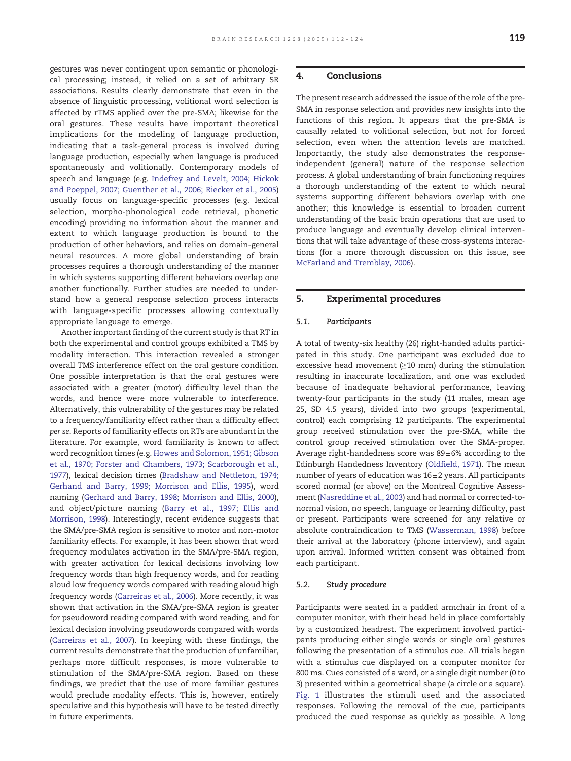gestures was never contingent upon semantic or phonological processing; instead, it relied on a set of arbitrary SR associations. Results clearly demonstrate that even in the absence of linguistic processing, volitional word selection is affected by rTMS applied over the pre-SMA; likewise for the oral gestures. These results have important theoretical implications for the modeling of language production, indicating that a task-general process is involved during language production, especially when language is produced spontaneously and volitionally. Contemporary models of speech and language (e.g. [Indefrey and Levelt, 2004; Hickok](#page-11-0) [and Poeppel, 2007; Guenther et al., 2006; Riecker et al., 2005\)](#page-11-0) usually focus on language-specific processes (e.g. lexical selection, morpho-phonological code retrieval, phonetic encoding) providing no information about the manner and extent to which language production is bound to the production of other behaviors, and relies on domain-general neural resources. A more global understanding of brain processes requires a thorough understanding of the manner in which systems supporting different behaviors overlap one another functionally. Further studies are needed to understand how a general response selection process interacts with language-specific processes allowing contextually appropriate language to emerge.

Another important finding of the current study is that RT in both the experimental and control groups exhibited a TMS by modality interaction. This interaction revealed a stronger overall TMS interference effect on the oral gesture condition. One possible interpretation is that the oral gestures were associated with a greater (motor) difficulty level than the words, and hence were more vulnerable to interference. Alternatively, this vulnerability of the gestures may be related to a frequency/familiarity effect rather than a difficulty effect per se. Reports of familiarity effects on RTs are abundant in the literature. For example, word familiarity is known to affect word recognition times (e.g. [Howes and Solomon, 1951; Gibson](#page-11-0) [et al., 1970; Forster and Chambers, 1973; Scarborough et al.,](#page-11-0) [1977](#page-11-0)), lexical decision times [\(Bradshaw and Nettleton, 1974;](#page-10-0) [Gerhand and Barry, 1999; Morrison and Ellis, 1995\)](#page-10-0), word naming ([Gerhard and Barry, 1998; Morrison and Ellis, 2000](#page-10-0)), and object/picture naming ([Barry et al., 1997; Ellis and](#page-10-0) [Morrison, 1998\)](#page-10-0). Interestingly, recent evidence suggests that the SMA/pre-SMA region is sensitive to motor and non-motor familiarity effects. For example, it has been shown that word frequency modulates activation in the SMA/pre-SMA region, with greater activation for lexical decisions involving low frequency words than high frequency words, and for reading aloud low frequency words compared with reading aloud high frequency words [\(Carreiras et al., 2006\)](#page-10-0). More recently, it was shown that activation in the SMA/pre-SMA region is greater for pseudoword reading compared with word reading, and for lexical decision involving pseudowords compared with words [\(Carreiras et al., 2007](#page-10-0)). In keeping with these findings, the current results demonstrate that the production of unfamiliar, perhaps more difficult responses, is more vulnerable to stimulation of the SMA/pre-SMA region. Based on these findings, we predict that the use of more familiar gestures would preclude modality effects. This is, however, entirely speculative and this hypothesis will have to be tested directly in future experiments.

#### 4. Conclusions

The present research addressed the issue of the role of the pre-SMA in response selection and provides new insights into the functions of this region. It appears that the pre-SMA is causally related to volitional selection, but not for forced selection, even when the attention levels are matched. Importantly, the study also demonstrates the responseindependent (general) nature of the response selection process. A global understanding of brain functioning requires a thorough understanding of the extent to which neural systems supporting different behaviors overlap with one another; this knowledge is essential to broaden current understanding of the basic brain operations that are used to produce language and eventually develop clinical interventions that will take advantage of these cross-systems interactions (for a more thorough discussion on this issue, see [McFarland and Tremblay, 2006\)](#page-11-0).

# 5. Experimental procedures

#### 5.1. Participants

A total of twenty-six healthy (26) right-handed adults participated in this study. One participant was excluded due to excessive head movement  $(≥10$  mm) during the stimulation resulting in inaccurate localization, and one was excluded because of inadequate behavioral performance, leaving twenty-four participants in the study (11 males, mean age 25, SD 4.5 years), divided into two groups (experimental, control) each comprising 12 participants. The experimental group received stimulation over the pre-SMA, while the control group received stimulation over the SMA-proper. Average right-handedness score was  $89 \pm 6\%$  according to the Edinburgh Handedness Inventory ([Oldfield, 1971\)](#page-11-0). The mean number of years of education was 16 ± 2 years. All participants scored normal (or above) on the Montreal Cognitive Assessment ([Nasreddine et al., 2003](#page-11-0)) and had normal or corrected-tonormal vision, no speech, language or learning difficulty, past or present. Participants were screened for any relative or absolute contraindication to TMS ([Wasserman, 1998\)](#page-12-0) before their arrival at the laboratory (phone interview), and again upon arrival. Informed written consent was obtained from each participant.

#### 5.2. Study procedure

Participants were seated in a padded armchair in front of a computer monitor, with their head held in place comfortably by a customized headrest. The experiment involved participants producing either single words or single oral gestures following the presentation of a stimulus cue. All trials began with a stimulus cue displayed on a computer monitor for 800 ms. Cues consisted of a word, or a single digit number (0 to 3) presented within a geometrical shape (a circle or a square). [Fig. 1](#page-2-0) illustrates the stimuli used and the associated responses. Following the removal of the cue, participants produced the cued response as quickly as possible. A long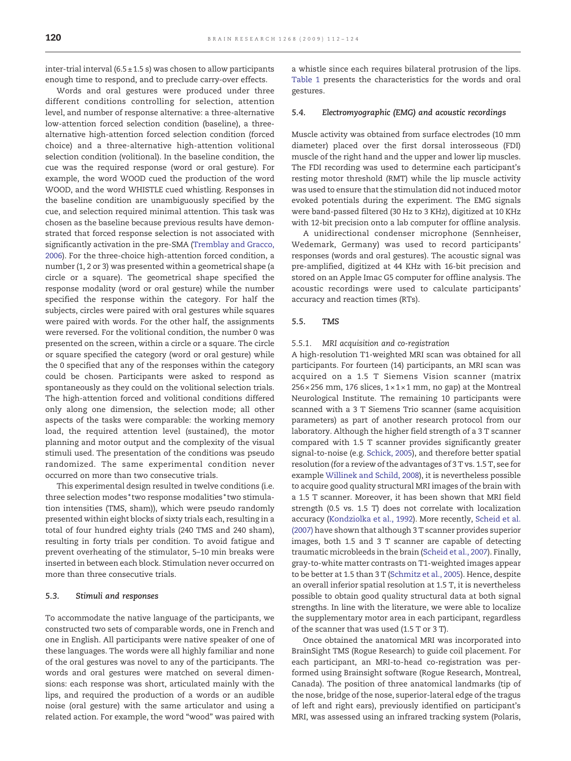inter-trial interval  $(6.5 \pm 1.5 \text{ s})$  was chosen to allow participants enough time to respond, and to preclude carry-over effects.

Words and oral gestures were produced under three different conditions controlling for selection, attention level, and number of response alternative: a three-alternative low-attention forced selection condition (baseline), a threealternative high-attention forced selection condition (forced choice) and a three-alternative high-attention volitional selection condition (volitional). In the baseline condition, the cue was the required response (word or oral gesture). For example, the word WOOD cued the production of the word WOOD, and the word WHISTLE cued whistling. Responses in the baseline condition are unambiguously specified by the cue, and selection required minimal attention. This task was chosen as the baseline because previous results have demonstrated that forced response selection is not associated with significantly activation in the pre-SMA ([Tremblay and Gracco,](#page-12-0) [2006\)](#page-12-0). For the three-choice high-attention forced condition, a number (1, 2 or 3) was presented within a geometrical shape (a circle or a square). The geometrical shape specified the response modality (word or oral gesture) while the number specified the response within the category. For half the subjects, circles were paired with oral gestures while squares were paired with words. For the other half, the assignments were reversed. For the volitional condition, the number 0 was presented on the screen, within a circle or a square. The circle or square specified the category (word or oral gesture) while the 0 specified that any of the responses within the category could be chosen. Participants were asked to respond as spontaneously as they could on the volitional selection trials. The high-attention forced and volitional conditions differed only along one dimension, the selection mode; all other aspects of the tasks were comparable: the working memory load, the required attention level (sustained), the motor planning and motor output and the complexity of the visual stimuli used. The presentation of the conditions was pseudo randomized. The same experimental condition never occurred on more than two consecutive trials.

This experimental design resulted in twelve conditions (i.e. three selection modes\*two response modalities\*two stimulation intensities (TMS, sham)), which were pseudo randomly presented within eight blocks of sixty trials each, resulting in a total of four hundred eighty trials (240 TMS and 240 sham), resulting in forty trials per condition. To avoid fatigue and prevent overheating of the stimulator, 5–10 min breaks were inserted in between each block. Stimulation never occurred on more than three consecutive trials.

### 5.3. Stimuli and responses

To accommodate the native language of the participants, we constructed two sets of comparable words, one in French and one in English. All participants were native speaker of one of these languages. The words were all highly familiar and none of the oral gestures was novel to any of the participants. The words and oral gestures were matched on several dimensions: each response was short, articulated mainly with the lips, and required the production of a words or an audible noise (oral gesture) with the same articulator and using a related action. For example, the word "wood" was paired with

a whistle since each requires bilateral protrusion of the lips. [Table 1](#page-3-0) presents the characteristics for the words and oral gestures.

#### 5.4. Electromyographic (EMG) and acoustic recordings

Muscle activity was obtained from surface electrodes (10 mm diameter) placed over the first dorsal interosseous (FDI) muscle of the right hand and the upper and lower lip muscles. The FDI recording was used to determine each participant's resting motor threshold (RMT) while the lip muscle activity was used to ensure that the stimulation did not induced motor evoked potentials during the experiment. The EMG signals were band-passed filtered (30 Hz to 3 KHz), digitized at 10 KHz with 12-bit precision onto a lab computer for offline analysis.

A unidirectional condenser microphone (Sennheiser, Wedemark, Germany) was used to record participants' responses (words and oral gestures). The acoustic signal was pre-amplified, digitized at 44 KHz with 16-bit precision and stored on an Apple Imac G5 computer for offline analysis. The acoustic recordings were used to calculate participants' accuracy and reaction times (RTs).

#### 5.5. TMS

#### 5.5.1. MRI acquisition and co-registration

A high-resolution T1-weighted MRI scan was obtained for all participants. For fourteen (14) participants, an MRI scan was acquired on a 1.5 T Siemens Vision scanner (matrix  $256 \times 256$  mm, 176 slices,  $1 \times 1 \times 1$  mm, no gap) at the Montreal Neurological Institute. The remaining 10 participants were scanned with a 3 T Siemens Trio scanner (same acquisition parameters) as part of another research protocol from our laboratory. Although the higher field strength of a 3 T scanner compared with 1.5 T scanner provides significantly greater signal-to-noise (e.g. [Schick, 2005\)](#page-12-0), and therefore better spatial resolution (for a review of the advantages of 3 T vs. 1.5 T, see for example [Willinek and Schild, 2008](#page-12-0)), it is nevertheless possible to acquire good quality structural MRI images of the brain with a 1.5 T scanner. Moreover, it has been shown that MRI field strength (0.5 vs. 1.5 T) does not correlate with localization accuracy ([Kondziolka et al., 1992\)](#page-11-0). More recently, [Scheid et al.](#page-12-0) [\(2007\)](#page-12-0) have shown that although 3 T scanner provides superior images, both 1.5 and 3 T scanner are capable of detecting traumatic microbleeds in the brain ([Scheid et al., 2007\)](#page-12-0). Finally, gray-to-white matter contrasts on T1-weighted images appear to be better at 1.5 than 3 T [\(Schmitz et al., 2005\)](#page-12-0). Hence, despite an overall inferior spatial resolution at 1.5 T, it is nevertheless possible to obtain good quality structural data at both signal strengths. In line with the literature, we were able to localize the supplementary motor area in each participant, regardless of the scanner that was used (1.5 T or 3 T).

Once obtained the anatomical MRI was incorporated into BrainSight TMS (Rogue Research) to guide coil placement. For each participant, an MRI-to-head co-registration was performed using Brainsight software (Rogue Research, Montreal, Canada). The position of three anatomical landmarks (tip of the nose, bridge of the nose, superior-lateral edge of the tragus of left and right ears), previously identified on participant's MRI, was assessed using an infrared tracking system (Polaris,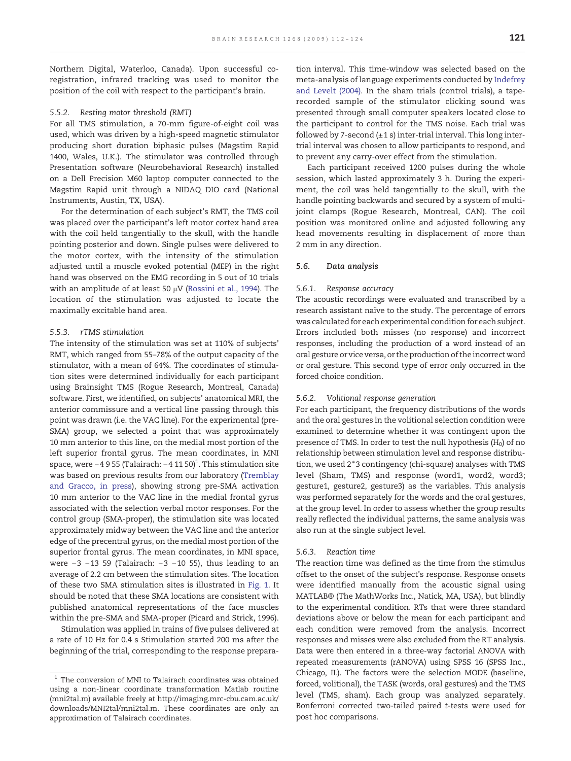Northern Digital, Waterloo, Canada). Upon successful coregistration, infrared tracking was used to monitor the position of the coil with respect to the participant's brain.

# 5.5.2. Resting motor threshold (RMT)

For all TMS stimulation, a 70-mm figure-of-eight coil was used, which was driven by a high-speed magnetic stimulator producing short duration biphasic pulses (Magstim Rapid 1400, Wales, U.K.). The stimulator was controlled through Presentation software (Neurobehavioral Research) installed on a Dell Precision M60 laptop computer connected to the Magstim Rapid unit through a NIDAQ DIO card (National Instruments, Austin, TX, USA).

For the determination of each subject's RMT, the TMS coil was placed over the participant's left motor cortex hand area with the coil held tangentially to the skull, with the handle pointing posterior and down. Single pulses were delivered to the motor cortex, with the intensity of the stimulation adjusted until a muscle evoked potential (MEP) in the right hand was observed on the EMG recording in 5 out of 10 trials with an amplitude of at least 50  $\mu$ V [\(Rossini et al., 1994\)](#page-12-0). The location of the stimulation was adjusted to locate the maximally excitable hand area.

### 5.5.3. rTMS stimulation

The intensity of the stimulation was set at 110% of subjects' RMT, which ranged from 55–78% of the output capacity of the stimulator, with a mean of 64%. The coordinates of stimulation sites were determined individually for each participant using Brainsight TMS (Rogue Research, Montreal, Canada) software. First, we identified, on subjects' anatomical MRI, the anterior commissure and a vertical line passing through this point was drawn (i.e. the VAC line). For the experimental (pre-SMA) group, we selected a point that was approximately 10 mm anterior to this line, on the medial most portion of the left superior frontal gyrus. The mean coordinates, in MNI space, were –4 9 55 (Talairach: –4 11 50)<sup>1</sup>. This stimulation site was based on previous results from our laboratory ([Tremblay](http://dx.doi.org/doi:10.1016/j.cortex.2009.03.003) [and Gracco, in press\)](http://dx.doi.org/doi:10.1016/j.cortex.2009.03.003), showing strong pre-SMA activation 10 mm anterior to the VAC line in the medial frontal gyrus associated with the selection verbal motor responses. For the control group (SMA-proper), the stimulation site was located approximately midway between the VAC line and the anterior edge of the precentral gyrus, on the medial most portion of the superior frontal gyrus. The mean coordinates, in MNI space, were −3 −13 59 (Talairach: −3 −10 55), thus leading to an average of 2.2 cm between the stimulation sites. The location of these two SMA stimulation sites is illustrated in [Fig. 1.](#page-2-0) It should be noted that these SMA locations are consistent with published anatomical representations of the face muscles within the pre-SMA and SMA-proper (Picard and Strick, 1996).

Stimulation was applied in trains of five pulses delivered at a rate of 10 Hz for 0.4 s Stimulation started 200 ms after the beginning of the trial, corresponding to the response prepara-

tion interval. This time-window was selected based on the meta-analysis of language experiments conducted by [Indefrey](#page-11-0) [and Levelt \(2004\)](#page-11-0). In the sham trials (control trials), a taperecorded sample of the stimulator clicking sound was presented through small computer speakers located close to the participant to control for the TMS noise. Each trial was followed by 7-second  $(\pm 1 \text{ s})$  inter-trial interval. This long intertrial interval was chosen to allow participants to respond, and to prevent any carry-over effect from the stimulation.

Each participant received 1200 pulses during the whole session, which lasted approximately 3 h. During the experiment, the coil was held tangentially to the skull, with the handle pointing backwards and secured by a system of multijoint clamps (Rogue Research, Montreal, CAN). The coil position was monitored online and adjusted following any head movements resulting in displacement of more than 2 mm in any direction.

#### 5.6. Data analysis

#### 5.6.1. Response accuracy

The acoustic recordings were evaluated and transcribed by a research assistant naïve to the study. The percentage of errors was calculated for each experimental condition for each subject. Errors included both misses (no response) and incorrect responses, including the production of a word instead of an oral gesture or vice versa, or the production of the incorrect word or oral gesture. This second type of error only occurred in the forced choice condition.

# 5.6.2. Volitional response generation

For each participant, the frequency distributions of the words and the oral gestures in the volitional selection condition were examined to determine whether it was contingent upon the presence of TMS. In order to test the null hypothesis  $(H_0)$  of no relationship between stimulation level and response distribution, we used 2⁎3 contingency (chi-square) analyses with TMS level (Sham, TMS) and response (word1, word2, word3; gesture1, gesture2, gesture3) as the variables. This analysis was performed separately for the words and the oral gestures, at the group level. In order to assess whether the group results really reflected the individual patterns, the same analysis was also run at the single subject level.

#### 5.6.3. Reaction time

The reaction time was defined as the time from the stimulus offset to the onset of the subject's response. Response onsets were identified manually from the acoustic signal using MATLAB® (The MathWorks Inc., Natick, MA, USA), but blindly to the experimental condition. RTs that were three standard deviations above or below the mean for each participant and each condition were removed from the analysis. Incorrect responses and misses were also excluded from the RT analysis. Data were then entered in a three-way factorial ANOVA with repeated measurements (rANOVA) using SPSS 16 (SPSS Inc., Chicago, IL). The factors were the selection MODE (baseline, forced, volitional), the TASK (words, oral gestures) and the TMS level (TMS, sham). Each group was analyzed separately. Bonferroni corrected two-tailed paired t-tests were used for post hoc comparisons.

 $^{\rm 1}$  The conversion of MNI to Talairach coordinates was obtained using a non-linear coordinate transformation Matlab routine (mni2tal.m) available freely at http://imaging.mrc-cbu.cam.ac.uk/ downloads/MNI2tal/mni2tal.m. These coordinates are only an approximation of Talairach coordinates.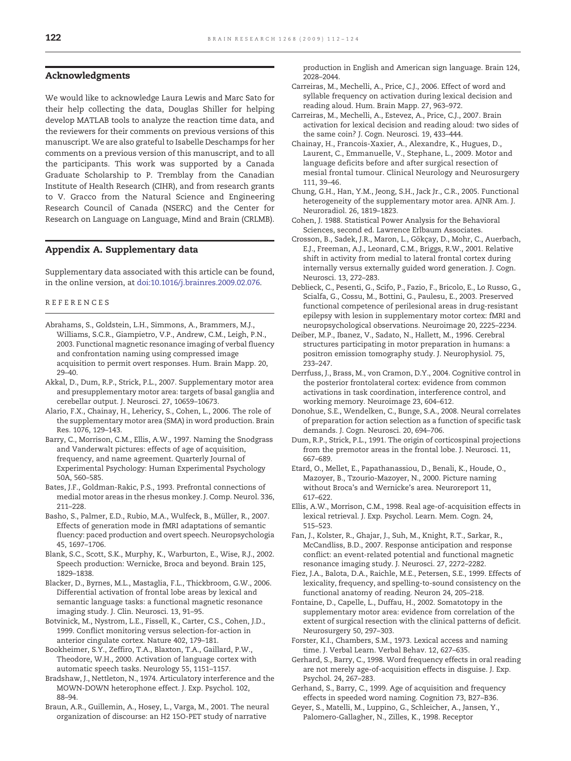# Acknowledgments

We would like to acknowledge Laura Lewis and Marc Sato for their help collecting the data, Douglas Shiller for helping develop MATLAB tools to analyze the reaction time data, and the reviewers for their comments on previous versions of this manuscript. We are also grateful to Isabelle Deschamps for her comments on a previous version of this manuscript, and to all the participants. This work was supported by a Canada Graduate Scholarship to P. Tremblay from the Canadian Institute of Health Research (CIHR), and from research grants to V. Gracco from the Natural Science and Engineering Research Council of Canada (NSERC) and the Center for Research on Language on Language, Mind and Brain (CRLMB).

# Appendix A. Supplementary data

Supplementary data associated with this article can be found, in the online version, at [doi:10.1016/j.brainres.2009.02.076](http://dx.doi.org/doi:10.1016/j.brainres.2009.02.076).

#### R E F E R E N C E S

- Abrahams, S., Goldstein, L.H., Simmons, A., Brammers, M.J., Williams, S.C.R., Giampietro, V.P., Andrew, C.M., Leigh, P.N., 2003. Functional magnetic resonance imaging of verbal fluency and confrontation naming using compressed image acquisition to permit overt responses. Hum. Brain Mapp. 20, 29–40.
- Akkal, D., Dum, R.P., Strick, P.L., 2007. Supplementary motor area and presupplementary motor area: targets of basal ganglia and cerebellar output. J. Neurosci. 27, 10659–10673.
- Alario, F.X., Chainay, H., Lehericy, S., Cohen, L., 2006. The role of the supplementary motor area (SMA) in word production. Brain Res. 1076, 129–143.
- Barry, C., Morrison, C.M., Ellis, A.W., 1997. Naming the Snodgrass and Vanderwalt pictures: effects of age of acquisition, frequency, and name agreement. Quarterly Journal of Experimental Psychology: Human Experimental Psychology 50A, 560–585.
- Bates, J.F., Goldman-Rakic, P.S., 1993. Prefrontal connections of medial motor areas in the rhesus monkey. J. Comp. Neurol. 336, 211–228.
- Basho, S., Palmer, E.D., Rubio, M.A., Wulfeck, B., Müller, R., 2007. Effects of generation mode in fMRI adaptations of semantic fluency: paced production and overt speech. Neuropsychologia 45, 1697–1706.
- Blank, S.C., Scott, S.K., Murphy, K., Warburton, E., Wise, R.J., 2002. Speech production: Wernicke, Broca and beyond. Brain 125, 1829–1838.
- Blacker, D., Byrnes, M.L., Mastaglia, F.L., Thickbroom, G.W., 2006. Differential activation of frontal lobe areas by lexical and semantic language tasks: a functional magnetic resonance imaging study. J. Clin. Neurosci. 13, 91–95.
- Botvinick, M., Nystrom, L.E., Fissell, K., Carter, C.S., Cohen, J.D., 1999. Conflict monitoring versus selection-for-action in anterior cingulate cortex. Nature 402, 179–181.

Bookheimer, S.Y., Zeffiro, T.A., Blaxton, T.A., Gaillard, P.W., Theodore, W.H., 2000. Activation of language cortex with automatic speech tasks. Neurology 55, 1151–1157.

Bradshaw, J., Nettleton, N., 1974. Articulatory interference and the MOWN-DOWN heterophone effect. J. Exp. Psychol. 102, 88–94.

<span id="page-10-0"></span>Braun, A.R., Guillemin, A., Hosey, L., Varga, M., 2001. The neural organization of discourse: an H2 15O-PET study of narrative

production in English and American sign language. Brain 124, 2028–2044.

- Carreiras, M., Mechelli, A., Price, C.J., 2006. Effect of word and syllable frequency on activation during lexical decision and reading aloud. Hum. Brain Mapp. 27, 963–972.
- Carreiras, M., Mechelli, A., Estevez, A., Price, C.J., 2007. Brain activation for lexical decision and reading aloud: two sides of the same coin? J. Cogn. Neurosci. 19, 433–444.
- Chainay, H., Francois-Xaxier, A., Alexandre, K., Hugues, D., Laurent, C., Emmanuelle, V., Stephane, L., 2009. Motor and language deficits before and after surgical resection of mesial frontal tumour. Clinical Neurology and Neurosurgery 111, 39–46.
- Chung, G.H., Han, Y.M., Jeong, S.H., Jack Jr., C.R., 2005. Functional heterogeneity of the supplementary motor area. AJNR Am. J. Neuroradiol. 26, 1819–1823.
- Cohen, J. 1988. Statistical Power Analysis for the Behavioral Sciences, second ed. Lawrence Erlbaum Associates.
- Crosson, B., Sadek, J.R., Maron, L., Gökçay, D., Mohr, C., Auerbach, E.J., Freeman, A.J., Leonard, C.M., Briggs, R.W., 2001. Relative shift in activity from medial to lateral frontal cortex during internally versus externally guided word generation. J. Cogn. Neurosci. 13, 272–283.
- Deblieck, C., Pesenti, G., Scifo, P., Fazio, F., Bricolo, E., Lo Russo, G., Scialfa, G., Cossu, M., Bottini, G., Paulesu, E., 2003. Preserved functional competence of perilesional areas in drug-resistant epilepsy with lesion in supplementary motor cortex: fMRI and neuropsychological observations. Neuroimage 20, 2225–2234.
- Deiber, M.P., Ibanez, V., Sadato, N., Hallett, M., 1996. Cerebral structures participating in motor preparation in humans: a positron emission tomography study. J. Neurophysiol. 75, 233–247.
- Derrfuss, J., Brass, M., von Cramon, D.Y., 2004. Cognitive control in the posterior frontolateral cortex: evidence from common activations in task coordination, interference control, and working memory. Neuroimage 23, 604–612.
- Donohue, S.E., Wendelken, C., Bunge, S.A., 2008. Neural correlates of preparation for action selection as a function of specific task demands. J. Cogn. Neurosci. 20, 694–706.
- Dum, R.P., Strick, P.L., 1991. The origin of corticospinal projections from the premotor areas in the frontal lobe. J. Neurosci. 11, 667–689.
- Etard, O., Mellet, E., Papathanassiou, D., Benali, K., Houde, O., Mazoyer, B., Tzourio-Mazoyer, N., 2000. Picture naming without Broca's and Wernicke's area. Neuroreport 11, 617–622.
- Ellis, A.W., Morrison, C.M., 1998. Real age-of-acquisition effects in lexical retrieval. J. Exp. Psychol. Learn. Mem. Cogn. 24, 515–523.
- Fan, J., Kolster, R., Ghajar, J., Suh, M., Knight, R.T., Sarkar, R., McCandliss, B.D., 2007. Response anticipation and response conflict: an event-related potential and functional magnetic resonance imaging study. J. Neurosci. 27, 2272–2282.
- Fiez, J.A., Balota, D.A., Raichle, M.E., Petersen, S.E., 1999. Effects of lexicality, frequency, and spelling-to-sound consistency on the functional anatomy of reading. Neuron 24, 205–218.
- Fontaine, D., Capelle, L., Duffau, H., 2002. Somatotopy in the supplementary motor area: evidence from correlation of the extent of surgical resection with the clinical patterns of deficit. Neurosurgery 50, 297–303.
- Forster, K.I., Chambers, S.M., 1973. Lexical access and naming time. J. Verbal Learn. Verbal Behav. 12, 627–635.
- Gerhard, S., Barry, C., 1998. Word frequency effects in oral reading are not merely age-of-acquisition effects in disguise. J. Exp. Psychol. 24, 267–283.
- Gerhand, S., Barry, C., 1999. Age of acquisition and frequency effects in speeded word naming. Cognition 73, B27–B36.
- Geyer, S., Matelli, M., Luppino, G., Schleicher, A., Jansen, Y., Palomero-Gallagher, N., Zilles, K., 1998. Receptor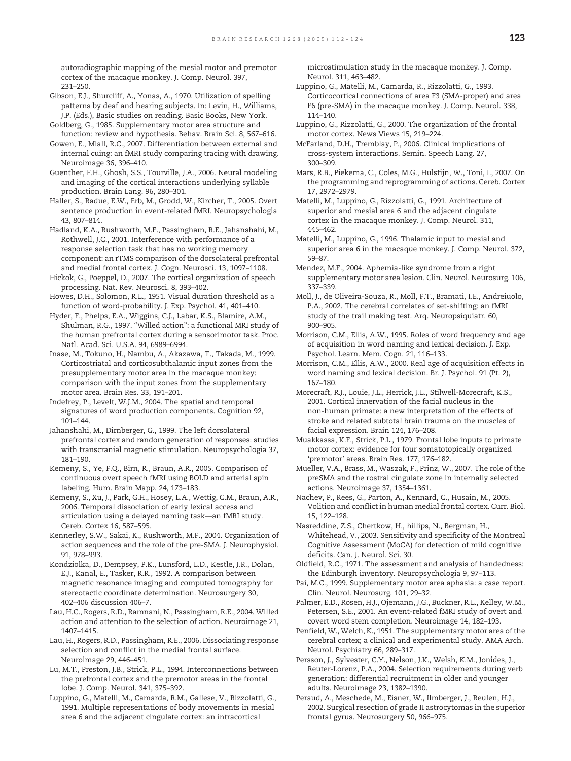autoradiographic mapping of the mesial motor and premotor cortex of the macaque monkey. J. Comp. Neurol. 397, 231–250.

- Gibson, E.J., Shurcliff, A., Yonas, A., 1970. Utilization of spelling patterns by deaf and hearing subjects. In: Levin, H., Williams, J.P. (Eds.), Basic studies on reading. Basic Books, New York.
- Goldberg, G., 1985. Supplementary motor area structure and function: review and hypothesis. Behav. Brain Sci. 8, 567–616.
- Gowen, E., Miall, R.C., 2007. Differentiation between external and internal cuing: an fMRI study comparing tracing with drawing. Neuroimage 36, 396–410.
- Guenther, F.H., Ghosh, S.S., Tourville, J.A., 2006. Neural modeling and imaging of the cortical interactions underlying syllable production. Brain Lang. 96, 280–301.
- Haller, S., Radue, E.W., Erb, M., Grodd, W., Kircher, T., 2005. Overt sentence production in event-related fMRI. Neuropsychologia 43, 807–814.
- Hadland, K.A., Rushworth, M.F., Passingham, R.E., Jahanshahi, M., Rothwell, J.C., 2001. Interference with performance of a response selection task that has no working memory component: an rTMS comparison of the dorsolateral prefrontal and medial frontal cortex. J. Cogn. Neurosci. 13, 1097–1108.
- Hickok, G., Poeppel, D., 2007. The cortical organization of speech processing. Nat. Rev. Neurosci. 8, 393–402.
- Howes, D.H., Solomon, R.L., 1951. Visual duration threshold as a function of word-probability. J. Exp. Psychol. 41, 401–410.
- Hyder, F., Phelps, E.A., Wiggins, C.J., Labar, K.S., Blamire, A.M., Shulman, R.G., 1997. "Willed action": a functional MRI study of the human prefrontal cortex during a sensorimotor task. Proc. Natl. Acad. Sci. U.S.A. 94, 6989–6994.
- Inase, M., Tokuno, H., Nambu, A., Akazawa, T., Takada, M., 1999. Corticostriatal and corticosubthalamic input zones from the presupplementary motor area in the macaque monkey: comparison with the input zones from the supplementary motor area. Brain Res. 33, 191–201.
- Indefrey, P., Levelt, W.J.M., 2004. The spatial and temporal signatures of word production components. Cognition 92, 101–144.
- Jahanshahi, M., Dirnberger, G., 1999. The left dorsolateral prefrontal cortex and random generation of responses: studies with transcranial magnetic stimulation. Neuropsychologia 37, 181–190.
- Kemeny, S., Ye, F.Q., Birn, R., Braun, A.R., 2005. Comparison of continuous overt speech fMRI using BOLD and arterial spin labeling. Hum. Brain Mapp. 24, 173–183.
- Kemeny, S., Xu, J., Park, G.H., Hosey, L.A., Wettig, C.M., Braun, A.R., 2006. Temporal dissociation of early lexical access and articulation using a delayed naming task—an fMRI study. Cereb. Cortex 16, 587–595.
- Kennerley, S.W., Sakai, K., Rushworth, M.F., 2004. Organization of action sequences and the role of the pre-SMA. J. Neurophysiol. 91, 978–993.
- Kondziolka, D., Dempsey, P.K., Lunsford, L.D., Kestle, J.R., Dolan, E.J., Kanal, E., Tasker, R.R., 1992. A comparison between magnetic resonance imaging and computed tomography for stereotactic coordinate determination. Neurosurgery 30, 402–406 discussion 406–7.
- Lau, H.C., Rogers, R.D., Ramnani, N., Passingham, R.E., 2004. Willed action and attention to the selection of action. Neuroimage 21, 1407–1415.
- Lau, H., Rogers, R.D., Passingham, R.E., 2006. Dissociating response selection and conflict in the medial frontal surface. Neuroimage 29, 446–451.
- Lu, M.T., Preston, J.B., Strick, P.L., 1994. Interconnections between the prefrontal cortex and the premotor areas in the frontal lobe. J. Comp. Neurol. 341, 375–392.
- <span id="page-11-0"></span>Luppino, G., Matelli, M., Camarda, R.M., Gallese, V., Rizzolatti, G., 1991. Multiple representations of body movements in mesial area 6 and the adjacent cingulate cortex: an intracortical

microstimulation study in the macaque monkey. J. Comp. Neurol. 311, 463–482.

- Luppino, G., Matelli, M., Camarda, R., Rizzolatti, G., 1993. Corticocortical connections of area F3 (SMA-proper) and area F6 (pre-SMA) in the macaque monkey. J. Comp. Neurol. 338, 114–140.
- Luppino, G., Rizzolatti, G., 2000. The organization of the frontal motor cortex. News Views 15, 219–224.
- McFarland, D.H., Tremblay, P., 2006. Clinical implications of cross-system interactions. Semin. Speech Lang. 27, 300–309.
- Mars, R.B., Piekema, C., Coles, M.G., Hulstijn, W., Toni, I., 2007. On the programming and reprogramming of actions. Cereb. Cortex 17, 2972–2979.
- Matelli, M., Luppino, G., Rizzolatti, G., 1991. Architecture of superior and mesial area 6 and the adjacent cingulate cortex in the macaque monkey. J. Comp. Neurol. 311, 445–462.
- Matelli, M., Luppino, G., 1996. Thalamic input to mesial and superior area 6 in the macaque monkey. J. Comp. Neurol. 372, 59–87.
- Mendez, M.F., 2004. Aphemia-like syndrome from a right supplementary motor area lesion. Clin. Neurol. Neurosurg. 106, 337–339.
- Moll, J., de Oliveira-Souza, R., Moll, F.T., Bramati, I.E., Andreiuolo, P.A., 2002. The cerebral correlates of set-shifting: an fMRI study of the trail making test. Arq. Neuropsiquiatr. 60, 900–905.
- Morrison, C.M., Ellis, A.W., 1995. Roles of word frequency and age of acquisition in word naming and lexical decision. J. Exp. Psychol. Learn. Mem. Cogn. 21, 116–133.
- Morrison, C.M., Ellis, A.W., 2000. Real age of acquisition effects in word naming and lexical decision. Br. J. Psychol. 91 (Pt. 2), 167–180.
- Morecraft, R.J., Louie, J.L., Herrick, J.L., Stilwell-Morecraft, K.S., 2001. Cortical innervation of the facial nucleus in the non-human primate: a new interpretation of the effects of stroke and related subtotal brain trauma on the muscles of facial expression. Brain 124, 176–208.
- Muakkassa, K.F., Strick, P.L., 1979. Frontal lobe inputs to primate motor cortex: evidence for four somatotopically organized 'premotor' areas. Brain Res. 177, 176–182.
- Mueller, V.A., Brass, M., Waszak, F., Prinz, W., 2007. The role of the preSMA and the rostral cingulate zone in internally selected actions. Neuroimage 37, 1354–1361.
- Nachev, P., Rees, G., Parton, A., Kennard, C., Husain, M., 2005. Volition and conflict in human medial frontal cortex. Curr. Biol. 15, 122–128.
- Nasreddine, Z.S., Chertkow, H., hillips, N., Bergman, H., Whitehead, V., 2003. Sensitivity and specificity of the Montreal Cognitive Assessment (MoCA) for detection of mild cognitive deficits. Can. J. Neurol. Sci. 30.
- Oldfield, R.C., 1971. The assessment and analysis of handedness: the Edinburgh inventory. Neuropsychologia 9, 97–113.
- Pai, M.C., 1999. Supplementary motor area aphasia: a case report. Clin. Neurol. Neurosurg. 101, 29–32.
- Palmer, E.D., Rosen, H.J., Ojemann, J.G., Buckner, R.L., Kelley, W.M., Petersen, S.E., 2001. An event-related fMRI study of overt and covert word stem completion. Neuroimage 14, 182–193.
- Penfield, W., Welch, K., 1951. The supplementary motor area of the cerebral cortex; a clinical and experimental study. AMA Arch. Neurol. Psychiatry 66, 289–317.
- Persson, J., Sylvester, C.Y., Nelson, J.K., Welsh, K.M., Jonides, J., Reuter-Lorenz, P.A., 2004. Selection requirements during verb generation: differential recruitment in older and younger adults. Neuroimage 23, 1382–1390.
- Peraud, A., Meschede, M., Eisner, W., Ilmberger, J., Reulen, H.J., 2002. Surgical resection of grade II astrocytomas in the superior frontal gyrus. Neurosurgery 50, 966–975.